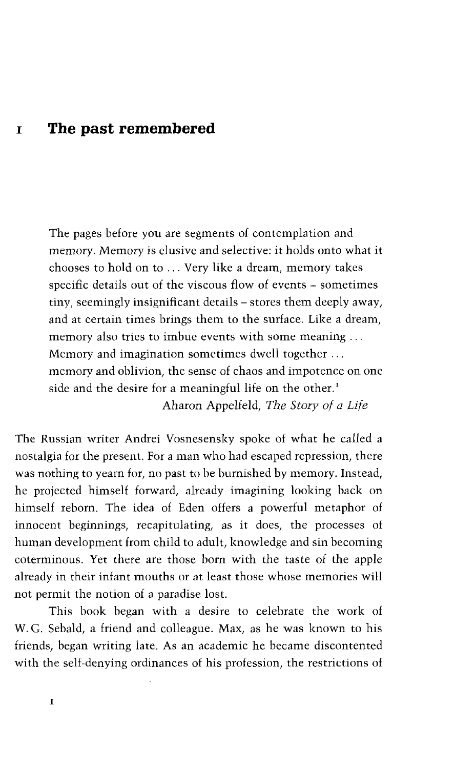The pages before you are segments of contemplation and memory. Memory is elusive and selective: it holds onto what it chooses to hold on to ... Very like a dream, memory takes specific details out of the viscous flow of events - sometimes tiny, seemingly insignificant details – stores them deeply away, and at certain times brings them to the surface. Like a dream, memory also tries to imbue events with some meaning ... Memory and imagination sometimes dwell together ... memory and oblivion, the sense of chaos and impotence on one side and the desire for a meaningful life on the other.<sup>1</sup>

Aharon Appelfeld, *The Story of a Life* 

The Russian writer Andrei Vosnesensky spoke of what he called a nostalgia for the present. For a man who had escaped repression, there was nothing to yearn for, no past to be burnished by memory. Instead, he projected himself forward, already imagining looking back on himself reborn. The idea of Eden offers a powerful metaphor of innocent beginnings, recapitulating, as it does, the processes of human development from child to adult, knowledge and sin becoming coterminous. Yet there are those born with the taste of the apple already in their infant mouths or at least those whose memories will not permit the notion of a paradise lost.

This book began with a desire to celebrate the work of W. G. Sebald, a friend and colleague. Max, as he was known to his friends, began writing late. As an academic he became discontented with the self-denying ordinances of his profession, the restrictions of

 $\mathbf{I}$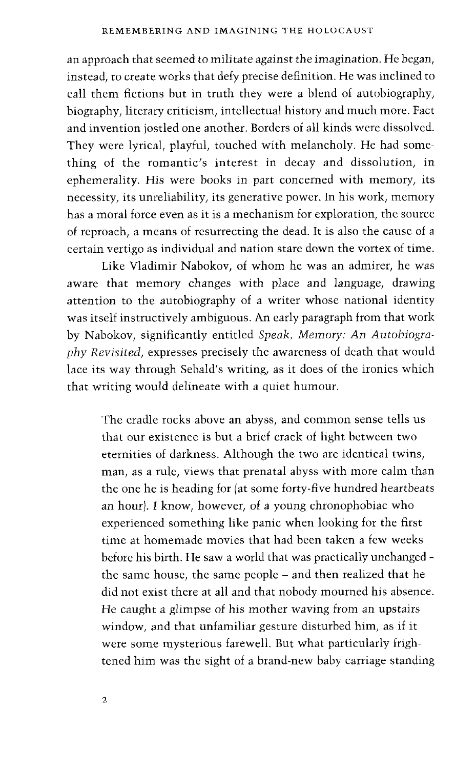an approach that seemed to militate against the imagination. He began, instead, to create works that defy precise definition. He was inclined to call them fictions but in truth they were a blend of autobiography, biography, literary criticism, intellectual history and much more. Fact and invention jostled one another. Borders of all kinds were dissolved. They were lyrical, playful, touched with melancholy. He had something of the romantic's interest in decay and dissolution, in ephemerality. His were books in part concerned with memory, its necessity, its unreliability, its generative power. In his work, memory has a moral force even as it is a mechanism for exploration, the source of reproach, a means of resurrecting the dead. It is also the cause of a certain vertigo as individual and nation stare down the vortex of time.

Like Vladimir Nabokov, of whom he was an admirer, he was aware that memory changes with place and language, drawing attention to the autobiography of a writer whose national identity was itself instructively ambiguous. An early paragraph from that work by Nabokov, significantly entitled *Speak, Memory: An Autobiography Revisited,* expresses precisely the awareness of death that would lace its way through Sebald's writing, as it does of the ironies which that writing would delineate with a quiet humour.

The cradle rocks above an abyss, and common sense tells us that our existence is but a brief crack of light between two eternities of darkness. Although the two are identical twins, man, as a rule, views that prenatal abyss with more calm than the one he is heading for (at some forty-five hundred heartbeats an hour). I know, however, of a young chronophobiac who experienced something like panic when looking for the first time at homemade movies that had been taken a few weeks before his birth. He saw a world that was practically unchanged the same house, the same people - and then realized that he did not exist there at all and that nobody mourned his absence. He caught a glimpse of his mother waving from an upstairs window, and that unfamiliar gesture disturbed him, as if it were some mysterious farewell. But what particularly frightened him was the sight of a brand-new baby carriage standing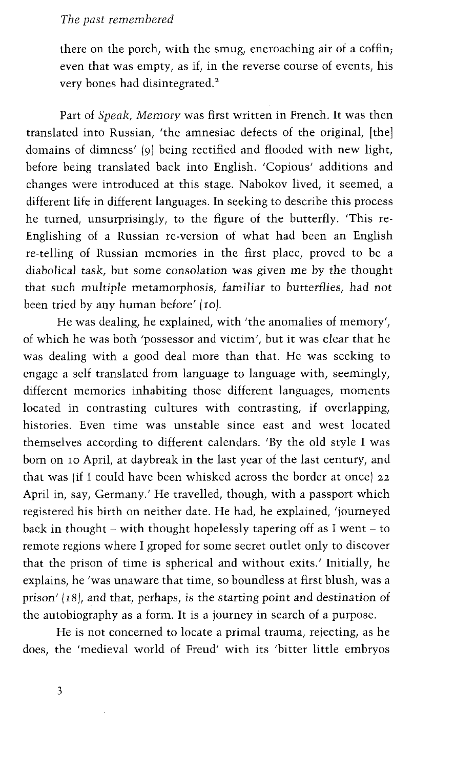there on the porch, with the smug, encroaching air of a coffin, even that was empty, as if, in the reverse course of events, his very bones had disintegrated.<sup>2</sup>

Part of *Speak, Memory* was first written in French. It was then translated into Russian, 'the amnesiac defects of the original, [the] domains of dimness' (9) being rectified and flooded with new light, before being translated back into English. 'Copious' additions and changes were introduced at this stage. Nabokov lived, it seemed, a different life in different languages. In seeking to describe this process he turned, unsurprisingly, to the figure of the butterfly. 'This re-Englishing of a Russian re-version of what had been an English re-telling of Russian memories in the first place, proved to be a diabolical task, but some consolation was given me by the thought that such multiple metamorphosis, familiar to butterflies, had not been tried by any human before' (10).

He was dealing, he explained, with 'the anomalies of memory', of which he was both 'possessor and victim', but it was clear that he was dealing with a good deal more than that. He was seeking to engage a self translated from language to language with, seemingly, different memories inhabiting those different languages, moments located in contrasting cultures with contrasting, if overlapping, histories. Even time was unstable since east and west located themselves according to different calendars. 'By the old style I was born on 10 April, at daybreak in the last year of the last century, and that was (if I could have been whisked across the border at once) 22 April in, say, Germany.' He travelled, though, with a passport which registered his birth on neither date. He had, he explained, 'journeyed back in thought - with thought hopelessly tapering off as I went - to remote regions where I groped for some secret outlet only to discover that the prison of time is spherical and without exits.' Initially, he explains, he 'was unaware that time, so boundless at first blush, was a prison' (18), and that, perhaps, is the starting point and destination of the autobiography as a form. It is a journey in search of a purpose.

He is not concerned to locate a primal trauma, rejecting, as he does, the 'medieval world of Freud' with its 'bitter little embryos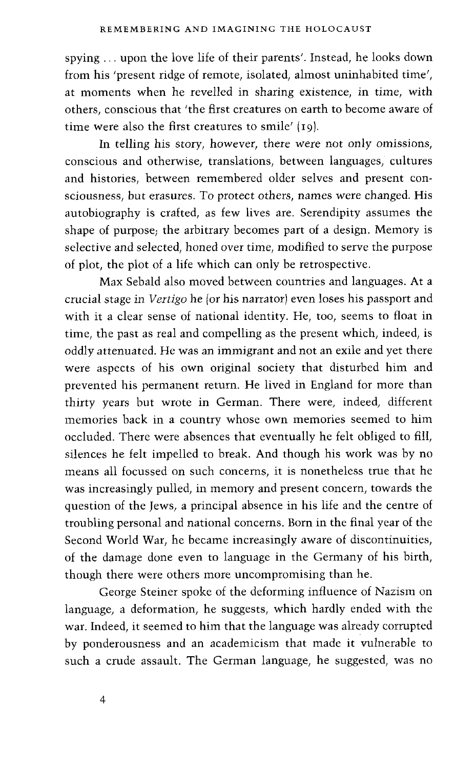spying ... upon the love life of their parents'. Instead, he looks down from his 'present ridge of remote, isolated, almost uninhabited time', at moments when he revelled in sharing existence, in time, with others, conscious that 'the first creatures on earth to become aware of time were also the first creatures to smile' (19).

In telling his story, however, there were not only omissions, conscious and otherwise, translations, between languages, cultures and histories, between remembered older selves and present consciousness, but erasures. To protect others, names were changed. His autobiography is crafted, as few lives are. Serendipity assumes the shape of purpose; the arbitrary becomes part of a design. Memory is selective and selected, honed over time, modified to serve the purpose of plot, the plot of a life which can only be retrospective.

Max Sebald also moved between countries and languages. At a crucial stage in *Vertigo* he (or his narrator) even loses his passport and with it a clear sense of national identity. He, too, seems to float in time, the past as real and compelling as the present which, indeed, is oddly attenuated. He was an immigrant and not an exile and yet there were aspects of his own original society that disturbed him and prevented his permanent return. He lived in England for more than thirty years but wrote in German. There were, indeed, different memories back in a country whose own memories seemed to him occluded. There were absences that eventually he felt obliged to fill, silences he felt impelled to break. And though his work was by no means all focussed on such concerns, it is nonetheless true that he was increasingly pulled, in memory and present concern, towards the question of the Jews, a principal absence in his life and the centre of troubling personal and national concerns. Born in the final year of the Second World War, he became increasingly aware of discontinuities, of the damage done even to language in the Germany of his birth, though there were others more uncompromising than he.

George Steiner spoke of the deforming influence of Nazism on language, a deformation, he suggests, which hardly ended with the war. Indeed, it seemed to him that the language was already corrupted by ponderousness and an academicism that made it vulnerable to such a crude assault. The German language, he suggested, was no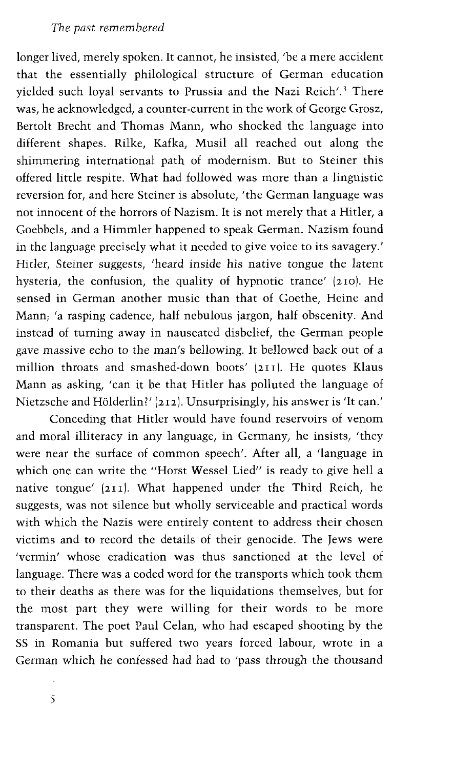longer lived, merely spoken. It cannot, he insisted, 'be a mere accident that the essentially philological structure of German education yielded such loyal servants to Prussia and the Nazi Reich'.<sup>3</sup> There was, he acknowledged, a counter-current in the work of George Grosz, Bertolt Brecht and Thomas Mann, who shocked the language into different shapes. Rilke, Kafka, Musil all reached out along the shimmering international path of modernism. But to Steiner this offered little respite. What had followed was more than a linguistic reversion for, and here Steiner is absolute, 'the German language was not innocent of the horrors of Nazism. It is not merely that a Hitler, a Goebbels, and a Himmler happened to speak German. Nazism found in the language precisely what it needed to give voice to its savagery.' Hitler, Steiner suggests, 'heard inside his native tongue the latent hysteria, the confusion, the quality of hypnotic trance'  $(210)$ . He sensed in German another music than that of Goethe, Heine and Mann; 'a rasping cadence, half nebulous jargon, half obscenity. And instead of turning away in nauseated disbelief, the German people gave massive echo to the man's bellowing. It bellowed back out of a million throats and smashed-down boots' (211). He quotes Klaus Mann as asking, 'can it be that Hitler has polluted the language of Nietzsche and Hölderlin?' (212). Unsurprisingly, his answer is 'It can.'

Conceding that Hitler would have found reservoirs of venom and moral illiteracy in any language, in Germany, he insists, 'they were near the surface of common speech'. After all, a 'language in which one can write the "Horst Wessel Lied" is ready to give hell a native tongue'  $(211)$ . What happened under the Third Reich, he suggests, was not silence but wholly serviceable and practical words with which the Nazis were entirely content to address their chosen victims and to record the details of their genocide. The Jews were 'vermin' whose eradication was thus sanctioned at the level of language. There was a coded word for the transports which took them to their deaths as there was for the liquidations themselves, but for the most part they were willing for their words to be more transparent. The poet Paul Celan, who had escaped shooting by the SS in Romania but suffered two years forced labour, wrote in a German which he confessed had had to 'pass through the thousand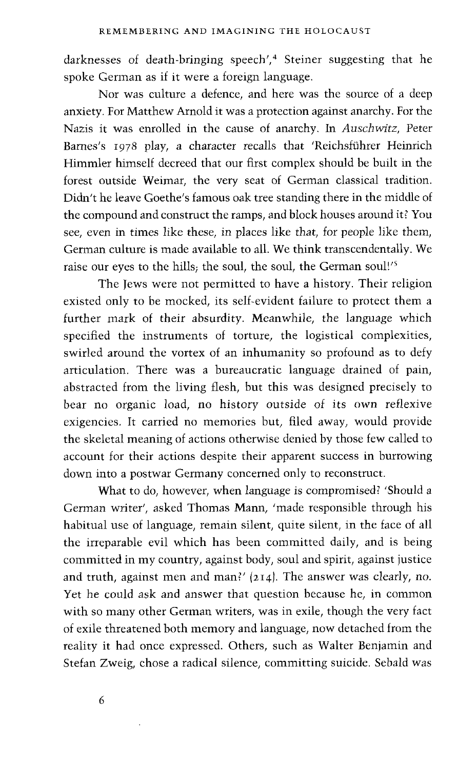darknesses of death-bringing speech',<sup>4</sup> Steiner suggesting that he spoke German as if it were a foreign language.

Nor was culture a defence, and here was the source of a deep anxiety. For Matthew Arnold it was a protection against anarchy. For the Nazis it was enrolled in the cause of anarchy. In *Auschwitz,* Peter Barnes's 1978 play, a character recalls that 'Reichsführer Heinrich Himmler himself decreed that our first complex should be built in the forest outside Weimar, the very seat of German classical tradition. Didn't he leave Goethe's famous oak tree standing there in the middle of the compound and constmct the ramps, and block houses around it? You see, even in times like these, in places like that, for people like them, German culture is made available to all. We think transcendentally. We raise our eyes to the hills; the soul, the soul, the German soul!'<sup>5</sup>

The Jews were not permitted to have a history. Their religion existed only to be mocked, its self-evident failure to protect them a further mark of their absurdity. Meanwhile, the language which specified the instruments of torture, the logistical complexities, swirled around the vortex of an inhumanity so profound as to defy articulation. There was a bureaucratic language drained of pain, abstracted from the living flesh, but this was designed precisely to bear no organic load, no history outside of its own reflexive exigencies. It carried no memories but, filed away, would provide the skeletal meaning of actions otherwise denied by those few called to account for their actions despite their apparent success in burrowing down into a postwar Germany concerned only to reconstruct.

What to do, however, when language is compromised? 'Should a German writer', asked Thomas Mann, 'made responsible through his habitual use of language, remain silent, quite silent, in the face of all the irreparable evil which has been committed daily, and is being committed in my country, against body, soul and spirit, against justice and truth, against men and man?' (214). The answer was clearly, no. Yet he could ask and answer that question because he, in common with so many other German writers, was in exile, though the very fact of exile threatened both memory and language, now detached from the reality it had once expressed. Others, such as Walter Benjamin and Stefan Zweig, chose a radical silence, committing suicide. Sebald was

6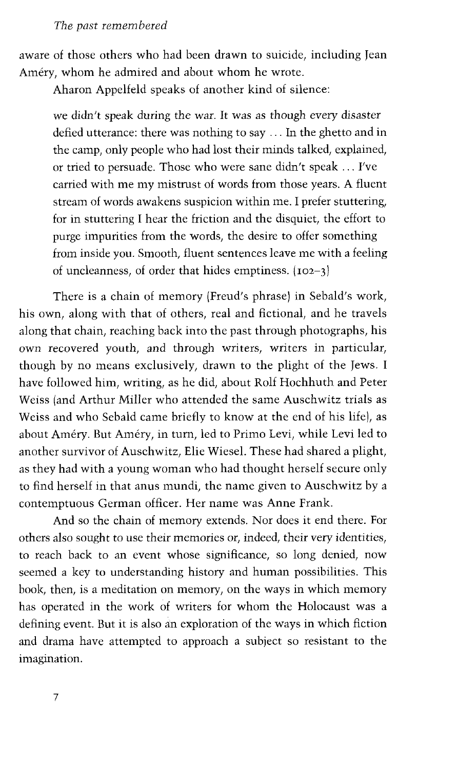aware of those others who had been drawn to suicide, including Jean Amery, whom he admired and about whom he wrote.

Aharon Appelfeld speaks of another kind of silence:

we didn't speak during the war. It was as though every disaster defied utterance: there was nothing to say ... In the ghetto and in the camp, only people who had lost their minds talked, explained, or tried to persuade. Those who were sane didn't speak ... I've carried with me my mistrust of words from those years. A fluent stream of words awakens suspicion within me. I prefer stuttering, for in stuttering I hear the friction and the disquiet, the effort to purge impurities from the words, the desire to offer something from inside you. Smooth, fluent sentences leave me with a feeling of uncleanness, of order that hides emptiness.  $(102-3)$ 

There is a chain of memory (Freud's phrase) in Sebald's work, his own, along with that of others, real and fictional, and he travels along that chain, reaching back into the past through photographs, his own recovered youth, and through writers, writers in particular, though by no means exclusively, drawn to the plight of the Jews. I have followed him, writing, as he did, about Rolf Hochhuth and Peter Weiss (and Arthur Miller who attended the same Auschwitz trials as Weiss and who Sebald came briefly to know at the end of his life), as about Améry. But Améry, in turn, led to Primo Levi, while Levi led to another survivor of Auschwitz, Elie Wiesel. These had shared a plight, as they had with a young woman who had thought herself secure only to find herself in that anus mundi, the name given to Auschwitz by a contemptuous German officer. Her name was Anne Frank.

And so the chain of memory extends. Nor does it end there. For others also sought to use their memories or, indeed, their very identities, to reach back to an event whose significance, so long denied, now seemed a key to understanding history and human possibilities. This book, then, is a meditation on memory, on the ways in which memory has operated in the work of writers for whom the Holocaust was a defining event. But it is also an exploration of the ways in which fiction and drama have attempted to approach a subject so resistant to the imagination.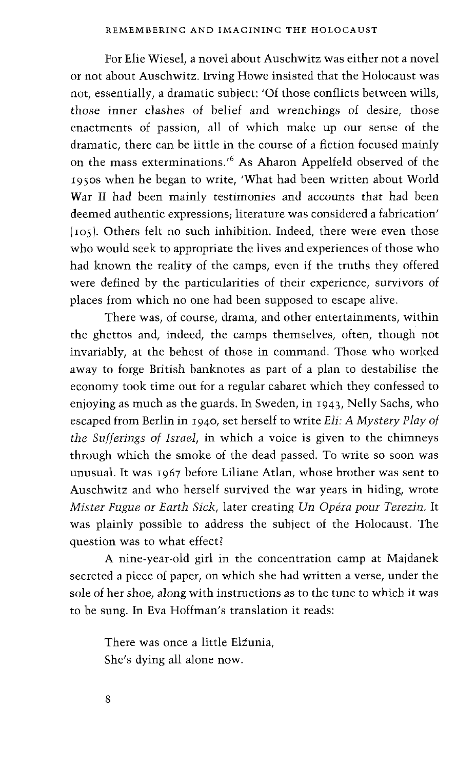For Elie Wiesel, a novel about Auschwitz was either not a novel or not about Auschwitz. Irving Howe insisted that the Holocaust was not, essentially, a dramatic subject: 'Of those conflicts between wills, those inner clashes of belief and wrenchings of desire, those enactments of passion, all of which make up our sense of the dramatic, there can be little in the course of a fiction focused mainly on the mass exterminations.'6 As Aharon Appelfeld observed of the 1950s when he began to write, 'What had been written about World War II had been mainly testimonies and accounts that had been deemed authentic expressions; literature was considered a fabrication' (105). Others felt no such inhibition. Indeed, there were even those who would seek to appropriate the lives and experiences of those who had known the reality of the camps, even if the truths they offered were defined by the particularities of their experience, survivors of places from which no one had been supposed to escape alive.

There was, of course, drama, and other entertainments, within the ghettos and, indeed, the camps themselves, often, though not invariably, at the behest of those in command. Those who worked away to forge British banknotes as part of a plan to destabilise the economy took time out for a regular cabaret which they confessed to enjoying as much as the guards. In Sweden, in 1943, Nelly Sachs, who escaped from Berlin in 1940, set herself to write *Eli: A Mystery Play of the Sufferings of Israel,* in which a voice is given to the chimneys through which the smoke of the dead passed. To write so soon was unusual. It was 1967 before Liliane Atlan, whose brother was sent to Auschwitz and who herself survived the war years in hiding, wrote *M ister Fugue or Earth Sick,* later creating *Un Opéra pour Terezin.* It was plainly possible to address the subject of the Holocaust. The question was to what effect?

A nine-year-old girl in the concentration camp at Majdanek secreted a piece of paper, on which she had written a verse, under the sole of her shoe, along with instructions as to the tune to which it was to be sung. In Eva Hoffman's translation it reads:

There was once a little Elzunia, She's dying all alone now.

8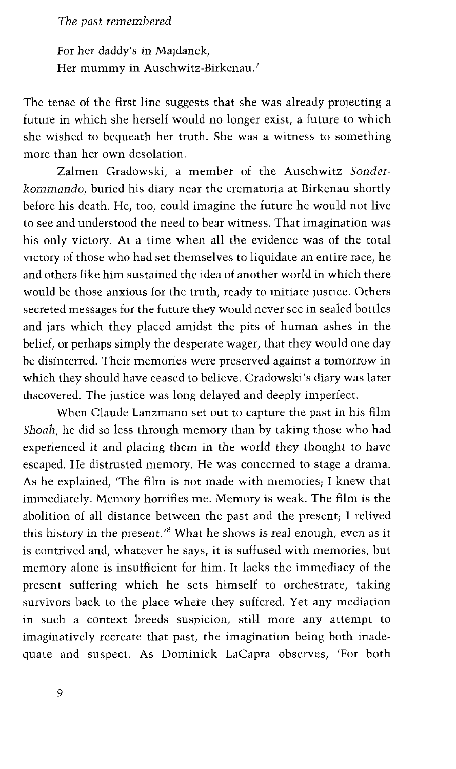For her daddy's in Majdanek, Her mummy in Auschwitz-Birkenau.7

The tense of the first line suggests that she was already projecting a future in which she herself would no longer exist, a future to which she wished to bequeath her truth. She was a witness to something more than her own desolation.

Zalmen Gradowski, a member of the Auschwitz *Sonderkommando,* buried his diary near the crematoria at Birkenau shortly before his death. He, too, could imagine the future he would not live to see and understood the need to bear witness. That imagination was his only victory. At a time when all the evidence was of the total victory of those who had set themselves to liquidate an entire race, he and others like him sustained the idea of another world in which there would be those anxious for the truth, ready to initiate justice. Others secreted messages for the future they would never see in sealed bottles and jars which they placed amidst the pits of human ashes in the belief, or perhaps simply the desperate wager, that they would one day be disinterred. Their memories were preserved against a tomorrow in which they should have ceased to believe. Gradowski's diary was later discovered. The justice was long delayed and deeply imperfect.

When Claude Lanzmann set out to capture the past in his film *Shoah,* he did so less through memory than by taking those who had experienced it and placing them in the world they thought to have escaped. He distrusted memory. He was concerned to stage a drama. As he explained, 'The film is not made with memories; I knew that immediately. Memory horrifies me. Memory is weak. The film is the abolition of all distance between the past and the present; I relived this history in the present.<sup>'8</sup> What he shows is real enough, even as it is contrived and, whatever he says, it is suffused with memories, but memory alone is insufficient for him. It lacks the immediacy of the present suffering which he sets himself to orchestrate, taking survivors back to the place where they suffered. Yet any mediation in such a context breeds suspicion, still more any attempt to imaginatively recreate that past, the imagination being both inadequate and suspect. As Dominick LaCapra observes, 'For both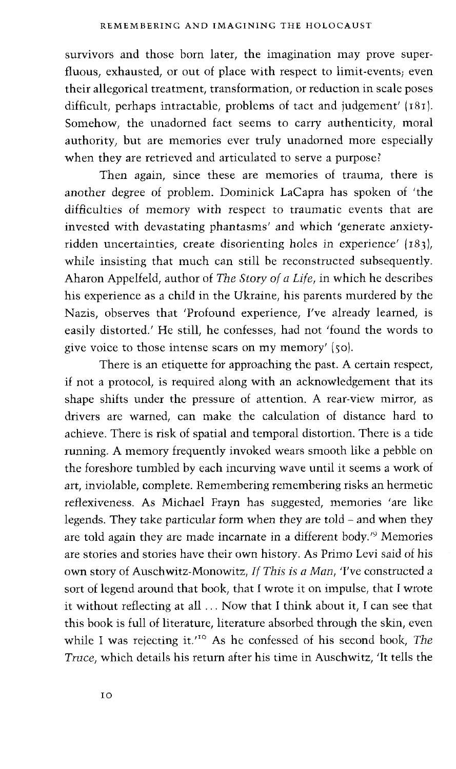survivors and those born later, the imagination may prove superfluous, exhausted, or out of place with respect to limit-events; even their allegorical treatment, transformation, or reduction in scale poses difficult, perhaps intractable, problems of tact and judgement' (181). Somehow, the unadorned fact seems to carry authenticity, moral authority, but are memories ever truly unadorned more especially when they are retrieved and articulated to serve a purpose?

Then again, since these are memories of trauma, there is another degree of problem. Dominick LaCapra has spoken of 'the difficulties of memory with respect to traumatic events that are invested with devastating phantasms' and which 'generate anxietyridden uncertainties, create disorienting holes in experience' (183), while insisting that much can still be reconstructed subsequently. Aharon Appelfeld, author of *The Story of a Life,* in which he describes his experience as a child in the Ukraine, his parents murdered by the Nazis, observes that 'Profound experience, I've already learned, is easily distorted.' He still, he confesses, had not 'found the words to give voice to those intense scars on my memory' (50).

There is an etiquette for approaching the past. A certain respect, if not a protocol, is required along with an acknowledgement that its shape shifts under the pressure of attention. A rear-view mirror, as drivers are warned, can make the calculation of distance hard to achieve. There is risk of spatial and temporal distortion. There is a tide running. A memory frequently invoked wears smooth like a pebble on the foreshore tumbled by each incurving wave until it seems a work of art, inviolable, complete. Remembering remembering risks an hermetic reflexiveness. As Michael Frayn has suggested, memories 'are like legends. They take particular form when they are told - and when they are told again they are made incarnate in a different body.'9 Memories are stories and stories have their own history. As Primo Levi said of his own story of Auschwitz-Monowitz, *If This is a Man,* 'I've constructed a sort of legend around that book, that I wrote it on impulse, that I wrote it without reflecting at all ... Now that I think about it, I can see that this book is full of literature, literature absorbed through the skin, even while I was rejecting it.'10 As he confessed of his second book, *The Truce,* which details his return after his time in Auschwitz, 'It tells the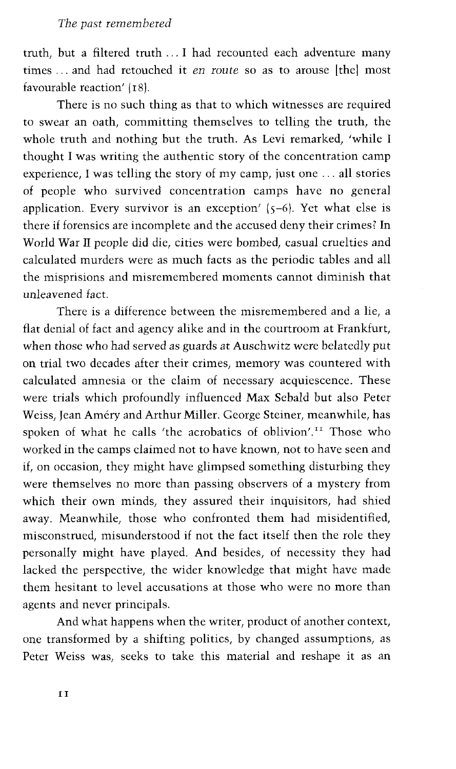truth, but a filtered truth ... I had recounted each adventure many times ... and had retouched it *en route* so as to arouse [the] most favourable reaction' (18).

There is no such thing as that to which witnesses are required to swear an oath, committing themselves to telling the truth, the whole truth and nothing but the truth. As Levi remarked, 'while I thought I was writing the authentic story of the concentration camp experience, I was telling the story of my camp, just one ... all stories of people who survived concentration camps have no general application. Every survivor is an exception'  $(5-6)$ . Yet what else is there if forensics are incomplete and the accused deny their crimes? In World War II people did die, cities were bombed, casual cruelties and calculated murders were as much facts as the periodic tables and all the misprisions and misremembered moments cannot diminish that unleavened fact.

There is a difference between the misremembered and a lie, a flat denial of fact and agency alike and in the courtroom at Frankfurt, when those who had served as guards at Auschwitz were belatedly put on trial two decades after their crimes, memory was countered with calculated amnesia or the claim of necessary acquiescence. These were trials which profoundly influenced Max Sebald but also Peter Weiss, Jean Amery and Arthur Miller. George Steiner, meanwhile, has spoken of what he calls 'the acrobatics of oblivion'.<sup>11</sup> Those who worked in the camps claimed not to have known, not to have seen and if, on occasion, they might have glimpsed something disturbing they were themselves no more than passing observers of a mystery from which their own minds, they assured their inquisitors, had shied away. Meanwhile, those who confronted them had misidentified, misconstrued, misunderstood if not the fact itself then the role they personally might have played. And besides, of necessity they had lacked the perspective, the wider knowledge that might have made them hesitant to level accusations at those who were no more than agents and never principals.

And what happens when the writer, product of another context, one transformed by a shifting politics, by changed assumptions, as Peter Weiss was, seeks to take this material and reshape it as an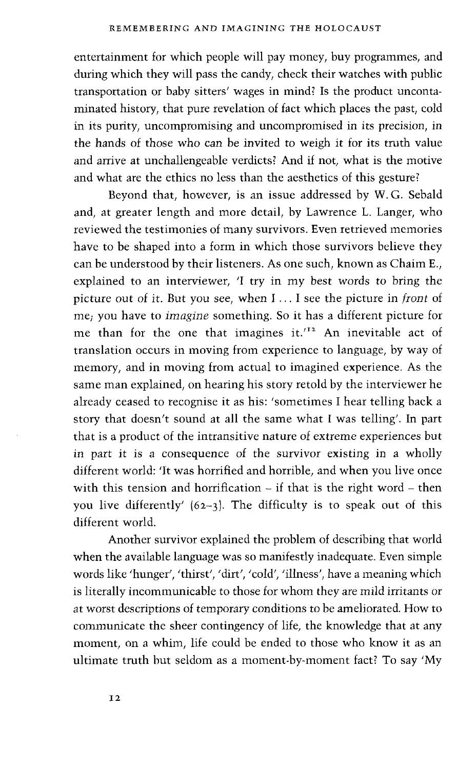entertainment for which people will pay money, buy programmes, and during which they will pass the candy, check their watches with public transportation or baby sitters' wages in mind? Is the product uncontaminated history, that pure revelation of fact which places the past, cold in its purity, uncompromising and uncompromised in its precision, in the hands of those who can be invited to weigh it for its truth value and arrive at unchallengeable verdicts? And if not, what is the motive and what are the ethics no less than the aesthetics of this gesture?

Beyond that, however, is an issue addressed by W. G. Sebald and, at greater length and more detail, by Lawrence L. Langer, who reviewed the testimonies of many survivors. Even retrieved memories have to be shaped into a form in which those survivors believe they can be understood by their listeners. As one such, known as Chaim E., explained to an interviewer, 'I try in my best words to bring the picture out of it. But you see, when I ... I see the picture in *front* of me; you have to *imagine* something. So it has a different picture for me than for the one that imagines it.<sup> $12$ </sup> An inevitable act of translation occurs in moving from experience to language, by way of memory, and in moving from actual to imagined experience. As the same man explained, on hearing his story retold by the interviewer he already ceased to recognise it as his: 'sometimes I hear telling back a story that doesn't sound at all the same what I was telling'. In part that is a product of the intransitive nature of extreme experiences but in part it is a consequence of the survivor existing in a wholly different world: 'It was horrified and horrible, and when you live once with this tension and horrification  $-$  if that is the right word  $-$  then you live differently'  $(62-3)$ . The difficulty is to speak out of this different world.

Another survivor explained the problem of describing that world when the available language was so manifestly inadequate. Even simple words like 'hunger', 'thirst', 'dirt', 'cold', 'illness', have a meaning which is literally incommunicable to those for whom they are mild irritants or at worst descriptions of temporary conditions to be ameliorated. How to communicate the sheer contingency of life, the knowledge that at any moment, on a whim, life could be ended to those who know it as an ultimate truth but seldom as a moment-by-moment fact? To say 'My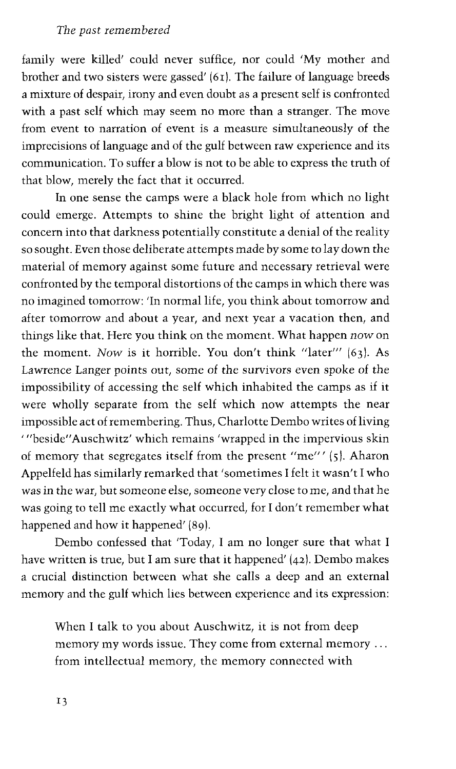family were killed' could never suffice, nor could 'My mother and brother and two sisters were gassed' (61). The failure of language breeds a mixture of despair, irony and even doubt as a present self is confronted with a past self which may seem no more than a stranger. The move from event to narration of event is a measure simultaneously of the imprecisions of language and of the gulf between raw experience and its communication. To suffer a blow is not to be able to express the truth of that blow, merely the fact that it occurred.

In one sense the camps were a black hole from which no light could emerge. Attempts to shine the bright light of attention and concern into that darkness potentially constitute a denial of the reality so sought. Even those deliberate attempts made by some to lay down the material of memory against some future and necessary retrieval were confronted by the temporal distortions of the camps in which there was no imagined tomorrow: 'In normal life, you think about tomorrow and after tomorrow and about a year, and next year a vacation then, and things like that. Here you think on the moment. What happen *now* on the moment. *Now* is it horrible. You don't think "later"' (63). As Lawrence Langer points out, some of the survivors even spoke of the impossibility of accessing the self which inhabited the camps as if it were wholly separate from the self which now attempts the near impossible act of remembering. Thus, Charlotte Dembo writes of living ' "beside"Auschwitz' which remains 'wrapped in the impervious skin of memory that segregates itself from the present " $me''$  (5). Aharon Appelfeld has similarly remarked that 'sometimes I felt it wasn't I who was in the war, but someone else, someone very close to me, and that he was going to tell me exactly what occurred, for I don't remember what happened and how it happened' (89).

Dembo confessed that 'Today, I am no longer sure that what I have written is true, but I am sure that it happened'  $(42)$ . Dembo makes a crucial distinction between what she calls a deep and an external memory and the gulf which lies between experience and its expression:

When I talk to you about Auschwitz, it is not from deep memory my words issue. They come from external memory ... from intellectual memory, the memory connected with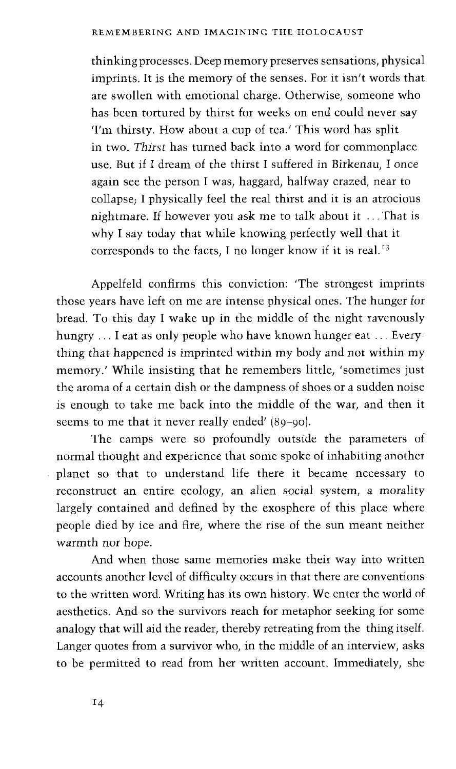thinking processes. Deep memory preserves sensations, physical imprints. It is the memory of the senses. For it isn't words that are swollen with emotional charge. Otherwise, someone who has been tortured by thirst for weeks on end could never say 'I'm thirsty. How about a cup of tea.' This word has split in two. *Thirst* has turned back into a word for commonplace use. But if I dream of the thirst I suffered in Birkenau, I once again see the person I was, haggard, halfway crazed, near to collapse; I physically feel the real thirst and it is an atrocious nightmare. If however you ask me to talk about it ... That is why I say today that while knowing perfectly well that it corresponds to the facts, I no longer know if it is real.<sup>13</sup>

Appelfeld confirms this conviction: 'The strongest imprints those years have left on me are intense physical ones. The hunger for bread. To this day I wake up in the middle of the night ravenously hungry ... I eat as only people who have known hunger eat ... Everything that happened is imprinted within my body and not within my memory.' While insisting that he remembers little, 'sometimes just the aroma of a certain dish or the dampness of shoes or a sudden noise is enough to take me back into the middle of the war, and then it seems to me that it never really ended' (89-90).

The camps were so profoundly outside the parameters of normal thought and experience that some spoke of inhabiting another planet so that to understand life there it became necessary to reconstruct an entire ecology, an alien social system, a morality largely contained and defined by the exosphere of this place where people died by ice and fire, where the rise of the sun meant neither warmth nor hope.

And when those same memories make their way into written accounts another level of difficulty occurs in that there are conventions to the written word. Writing has its own history. We enter the world of aesthetics. And so the survivors reach for metaphor seeking for some analogy that will aid the reader, thereby retreating from the thing itself. Langer quotes from a survivor who, in the middle of an interview, asks to be permitted to read from her written account. Immediately, she